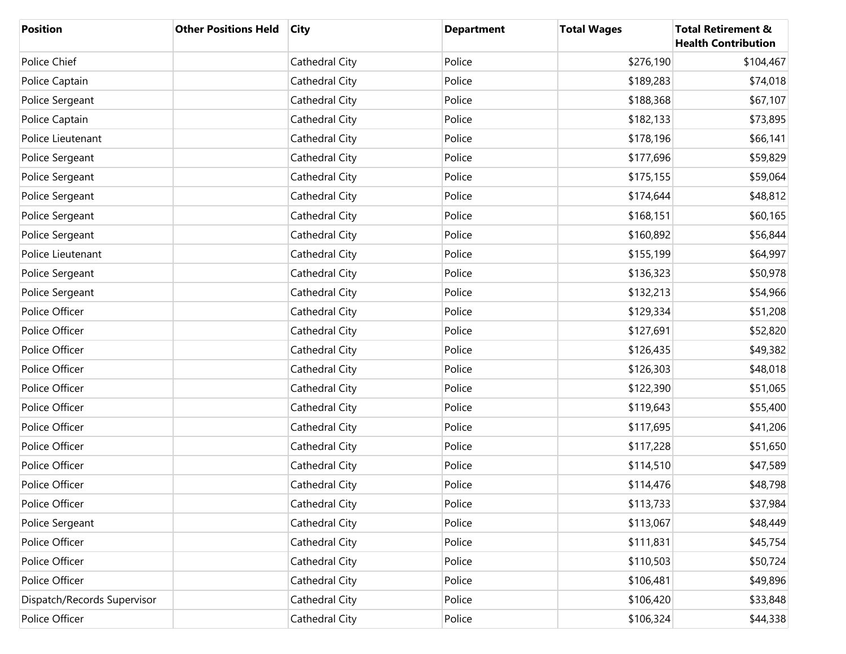| <b>Position</b>             | <b>Other Positions Held</b> | <b>City</b>    | <b>Department</b> | <b>Total Wages</b> | <b>Total Retirement &amp;</b><br><b>Health Contribution</b> |
|-----------------------------|-----------------------------|----------------|-------------------|--------------------|-------------------------------------------------------------|
| Police Chief                |                             | Cathedral City | Police            | \$276,190          | \$104,467                                                   |
| Police Captain              |                             | Cathedral City | Police            | \$189,283          | \$74,018                                                    |
| Police Sergeant             |                             | Cathedral City | Police            | \$188,368          | \$67,107                                                    |
| Police Captain              |                             | Cathedral City | Police            | \$182,133          | \$73,895                                                    |
| Police Lieutenant           |                             | Cathedral City | Police            | \$178,196          | \$66,141                                                    |
| Police Sergeant             |                             | Cathedral City | Police            | \$177,696          | \$59,829                                                    |
| Police Sergeant             |                             | Cathedral City | Police            | \$175,155          | \$59,064                                                    |
| Police Sergeant             |                             | Cathedral City | Police            | \$174,644          | \$48,812                                                    |
| Police Sergeant             |                             | Cathedral City | Police            | \$168,151          | \$60,165                                                    |
| Police Sergeant             |                             | Cathedral City | Police            | \$160,892          | \$56,844                                                    |
| Police Lieutenant           |                             | Cathedral City | Police            | \$155,199          | \$64,997                                                    |
| Police Sergeant             |                             | Cathedral City | Police            | \$136,323          | \$50,978                                                    |
| Police Sergeant             |                             | Cathedral City | Police            | \$132,213          | \$54,966                                                    |
| Police Officer              |                             | Cathedral City | Police            | \$129,334          | \$51,208                                                    |
| Police Officer              |                             | Cathedral City | Police            | \$127,691          | \$52,820                                                    |
| Police Officer              |                             | Cathedral City | Police            | \$126,435          | \$49,382                                                    |
| Police Officer              |                             | Cathedral City | Police            | \$126,303          | \$48,018                                                    |
| Police Officer              |                             | Cathedral City | Police            | \$122,390          | \$51,065                                                    |
| Police Officer              |                             | Cathedral City | Police            | \$119,643          | \$55,400                                                    |
| Police Officer              |                             | Cathedral City | Police            | \$117,695          | \$41,206                                                    |
| Police Officer              |                             | Cathedral City | Police            | \$117,228          | \$51,650                                                    |
| Police Officer              |                             | Cathedral City | Police            | \$114,510          | \$47,589                                                    |
| Police Officer              |                             | Cathedral City | Police            | \$114,476          | \$48,798                                                    |
| Police Officer              |                             | Cathedral City | Police            | \$113,733          | \$37,984                                                    |
| Police Sergeant             |                             | Cathedral City | Police            | \$113,067          | \$48,449                                                    |
| Police Officer              |                             | Cathedral City | Police            | \$111,831          | \$45,754                                                    |
| Police Officer              |                             | Cathedral City | Police            | \$110,503          | \$50,724                                                    |
| Police Officer              |                             | Cathedral City | Police            | \$106,481          | \$49,896                                                    |
| Dispatch/Records Supervisor |                             | Cathedral City | Police            | \$106,420          | \$33,848                                                    |
| Police Officer              |                             | Cathedral City | Police            | \$106,324          | \$44,338                                                    |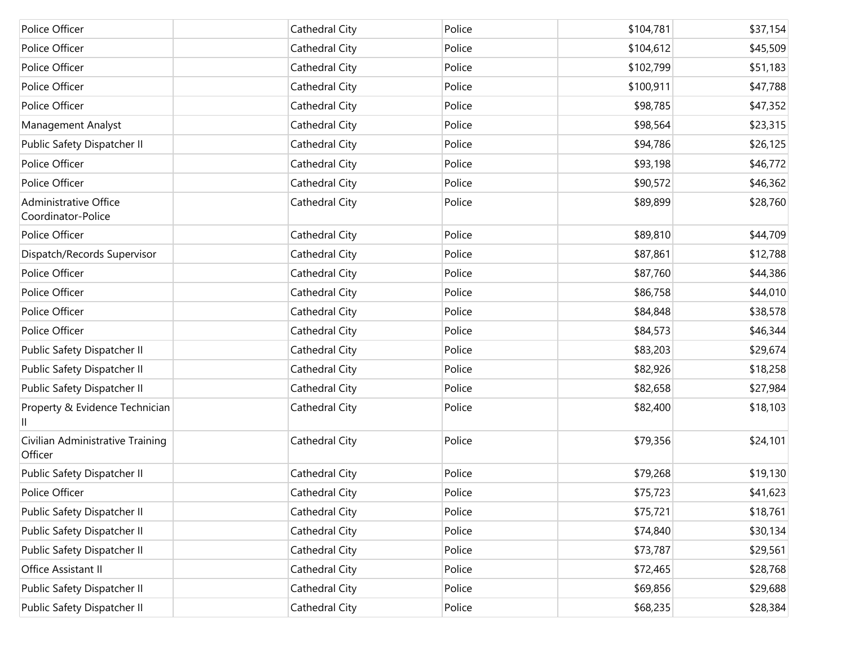| Police Officer                              | Cathedral City | Police | \$104,781 | \$37,154 |
|---------------------------------------------|----------------|--------|-----------|----------|
| Police Officer                              | Cathedral City | Police | \$104,612 | \$45,509 |
| Police Officer                              | Cathedral City | Police | \$102,799 | \$51,183 |
| Police Officer                              | Cathedral City | Police | \$100,911 | \$47,788 |
| Police Officer                              | Cathedral City | Police | \$98,785  | \$47,352 |
| Management Analyst                          | Cathedral City | Police | \$98,564  | \$23,315 |
| Public Safety Dispatcher II                 | Cathedral City | Police | \$94,786  | \$26,125 |
| Police Officer                              | Cathedral City | Police | \$93,198  | \$46,772 |
| Police Officer                              | Cathedral City | Police | \$90,572  | \$46,362 |
| Administrative Office<br>Coordinator-Police | Cathedral City | Police | \$89,899  | \$28,760 |
| Police Officer                              | Cathedral City | Police | \$89,810  | \$44,709 |
| Dispatch/Records Supervisor                 | Cathedral City | Police | \$87,861  | \$12,788 |
| Police Officer                              | Cathedral City | Police | \$87,760  | \$44,386 |
| Police Officer                              | Cathedral City | Police | \$86,758  | \$44,010 |
| Police Officer                              | Cathedral City | Police | \$84,848  | \$38,578 |
| Police Officer                              | Cathedral City | Police | \$84,573  | \$46,344 |
| Public Safety Dispatcher II                 | Cathedral City | Police | \$83,203  | \$29,674 |
| Public Safety Dispatcher II                 | Cathedral City | Police | \$82,926  | \$18,258 |
| Public Safety Dispatcher II                 | Cathedral City | Police | \$82,658  | \$27,984 |
| Property & Evidence Technician              | Cathedral City | Police | \$82,400  | \$18,103 |
| Civilian Administrative Training<br>Officer | Cathedral City | Police | \$79,356  | \$24,101 |
| Public Safety Dispatcher II                 | Cathedral City | Police | \$79,268  | \$19,130 |
| Police Officer                              | Cathedral City | Police | \$75,723  | \$41,623 |
| Public Safety Dispatcher II                 | Cathedral City | Police | \$75,721  | \$18,761 |
| Public Safety Dispatcher II                 | Cathedral City | Police | \$74,840  | \$30,134 |
| Public Safety Dispatcher II                 | Cathedral City | Police | \$73,787  | \$29,561 |
| Office Assistant II                         | Cathedral City | Police | \$72,465  | \$28,768 |
| Public Safety Dispatcher II                 | Cathedral City | Police | \$69,856  | \$29,688 |
| Public Safety Dispatcher II                 | Cathedral City | Police | \$68,235  | \$28,384 |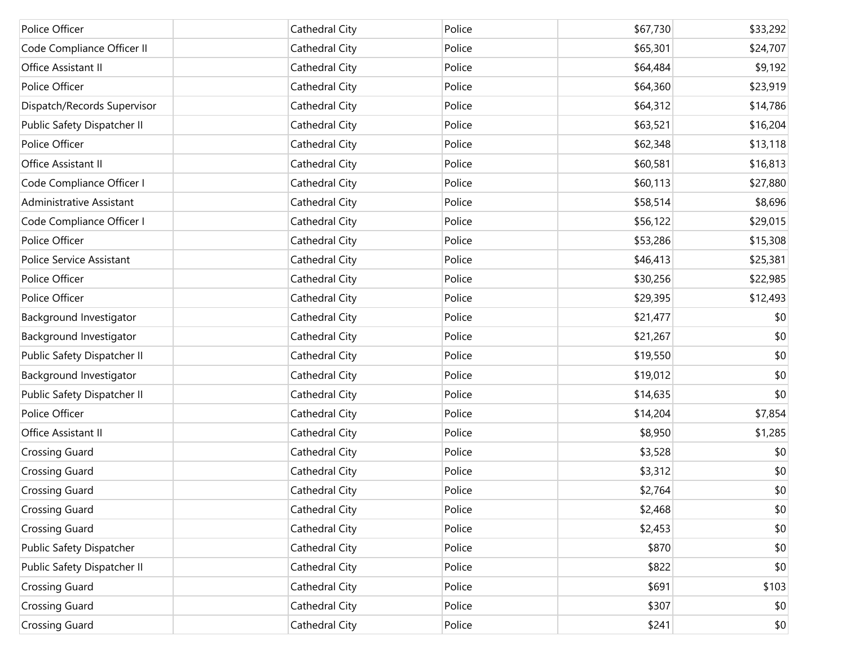| Police Officer              | Cathedral City | Police | \$67,730 | \$33,292 |
|-----------------------------|----------------|--------|----------|----------|
| Code Compliance Officer II  | Cathedral City | Police | \$65,301 | \$24,707 |
| Office Assistant II         | Cathedral City | Police | \$64,484 | \$9,192  |
| Police Officer              | Cathedral City | Police | \$64,360 | \$23,919 |
| Dispatch/Records Supervisor | Cathedral City | Police | \$64,312 | \$14,786 |
| Public Safety Dispatcher II | Cathedral City | Police | \$63,521 | \$16,204 |
| Police Officer              | Cathedral City | Police | \$62,348 | \$13,118 |
| Office Assistant II         | Cathedral City | Police | \$60,581 | \$16,813 |
| Code Compliance Officer I   | Cathedral City | Police | \$60,113 | \$27,880 |
| Administrative Assistant    | Cathedral City | Police | \$58,514 | \$8,696  |
| Code Compliance Officer I   | Cathedral City | Police | \$56,122 | \$29,015 |
| Police Officer              | Cathedral City | Police | \$53,286 | \$15,308 |
| Police Service Assistant    | Cathedral City | Police | \$46,413 | \$25,381 |
| Police Officer              | Cathedral City | Police | \$30,256 | \$22,985 |
| Police Officer              | Cathedral City | Police | \$29,395 | \$12,493 |
| Background Investigator     | Cathedral City | Police | \$21,477 | \$0      |
| Background Investigator     | Cathedral City | Police | \$21,267 | \$0      |
| Public Safety Dispatcher II | Cathedral City | Police | \$19,550 | \$0      |
| Background Investigator     | Cathedral City | Police | \$19,012 | \$0      |
| Public Safety Dispatcher II | Cathedral City | Police | \$14,635 | \$0      |
| Police Officer              | Cathedral City | Police | \$14,204 | \$7,854  |
| Office Assistant II         | Cathedral City | Police | \$8,950  | \$1,285  |
| <b>Crossing Guard</b>       | Cathedral City | Police | \$3,528  | \$0      |
| <b>Crossing Guard</b>       | Cathedral City | Police | \$3,312  | \$0      |
| <b>Crossing Guard</b>       | Cathedral City | Police | \$2,764  | \$0      |
| <b>Crossing Guard</b>       | Cathedral City | Police | \$2,468  | \$0      |
| <b>Crossing Guard</b>       | Cathedral City | Police | \$2,453  | \$0      |
| Public Safety Dispatcher    | Cathedral City | Police | \$870    | \$0      |
| Public Safety Dispatcher II | Cathedral City | Police | \$822    | \$0      |
| <b>Crossing Guard</b>       | Cathedral City | Police | \$691    | \$103    |
| <b>Crossing Guard</b>       | Cathedral City | Police | \$307    | \$0      |
| <b>Crossing Guard</b>       | Cathedral City | Police | \$241    | \$0      |